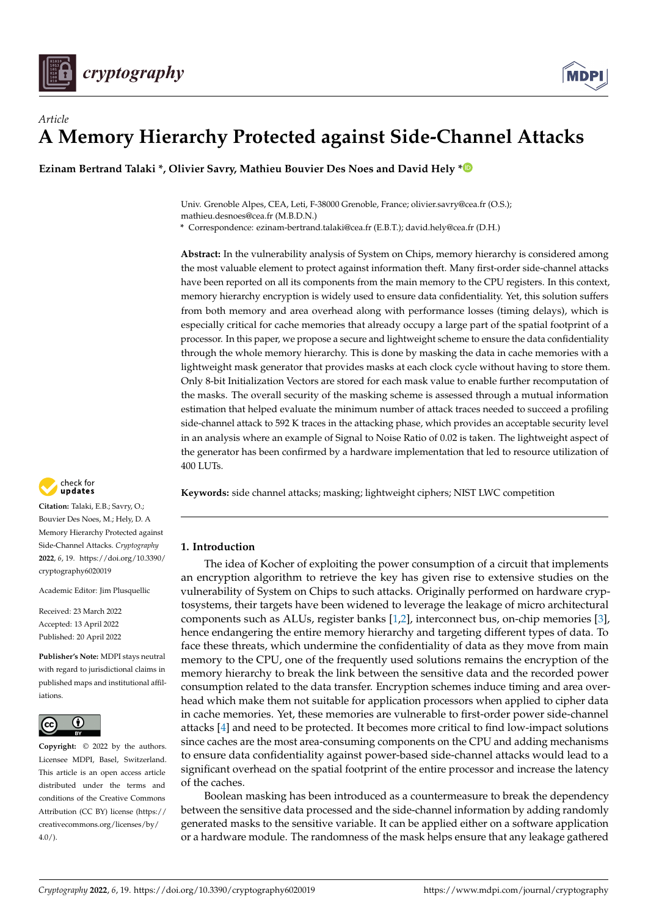



# *Article* **A Memory Hierarchy Protected against Side-Channel Attacks**

**Ezinam Bertrand Talaki \*, Olivier Savry, Mathieu Bouvier Des Noes and David Hely [\\*](https://orcid.org/0000-0003-3249-7667)**

Univ. Grenoble Alpes, CEA, Leti, F-38000 Grenoble, France; olivier.savry@cea.fr (O.S.); mathieu.desnoes@cea.fr (M.B.D.N.)

**\*** Correspondence: ezinam-bertrand.talaki@cea.fr (E.B.T.); david.hely@cea.fr (D.H.)

**Abstract:** In the vulnerability analysis of System on Chips, memory hierarchy is considered among the most valuable element to protect against information theft. Many first-order side-channel attacks have been reported on all its components from the main memory to the CPU registers. In this context, memory hierarchy encryption is widely used to ensure data confidentiality. Yet, this solution suffers from both memory and area overhead along with performance losses (timing delays), which is especially critical for cache memories that already occupy a large part of the spatial footprint of a processor. In this paper, we propose a secure and lightweight scheme to ensure the data confidentiality through the whole memory hierarchy. This is done by masking the data in cache memories with a lightweight mask generator that provides masks at each clock cycle without having to store them. Only 8-bit Initialization Vectors are stored for each mask value to enable further recomputation of the masks. The overall security of the masking scheme is assessed through a mutual information estimation that helped evaluate the minimum number of attack traces needed to succeed a profiling side-channel attack to 592 K traces in the attacking phase, which provides an acceptable security level in an analysis where an example of Signal to Noise Ratio of 0.02 is taken. The lightweight aspect of the generator has been confirmed by a hardware implementation that led to resource utilization of 400 LUTs.

**Keywords:** side channel attacks; masking; lightweight ciphers; NIST LWC competition

# **1. Introduction**

The idea of Kocher of exploiting the power consumption of a circuit that implements an encryption algorithm to retrieve the key has given rise to extensive studies on the vulnerability of System on Chips to such attacks. Originally performed on hardware cryptosystems, their targets have been widened to leverage the leakage of micro architectural components such as ALUs, register banks [\[1](#page-14-0)[,2\]](#page-14-1), interconnect bus, on-chip memories [\[3\]](#page-14-2), hence endangering the entire memory hierarchy and targeting different types of data. To face these threats, which undermine the confidentiality of data as they move from main memory to the CPU, one of the frequently used solutions remains the encryption of the memory hierarchy to break the link between the sensitive data and the recorded power consumption related to the data transfer. Encryption schemes induce timing and area overhead which make them not suitable for application processors when applied to cipher data in cache memories. Yet, these memories are vulnerable to first-order power side-channel attacks [\[4\]](#page-14-3) and need to be protected. It becomes more critical to find low-impact solutions since caches are the most area-consuming components on the CPU and adding mechanisms to ensure data confidentiality against power-based side-channel attacks would lead to a significant overhead on the spatial footprint of the entire processor and increase the latency of the caches.

Boolean masking has been introduced as a countermeasure to break the dependency between the sensitive data processed and the side-channel information by adding randomly generated masks to the sensitive variable. It can be applied either on a software application or a hardware module. The randomness of the mask helps ensure that any leakage gathered



**Citation:** Talaki, E.B.; Savry, O.; Bouvier Des Noes, M.; Hely, D. A Memory Hierarchy Protected against Side-Channel Attacks. *Cryptography* **2022**, *6*, 19. [https://doi.org/10.3390/](https://doi.org/10.3390/cryptography6020019) [cryptography6020019](https://doi.org/10.3390/cryptography6020019)

Academic Editor: Jim Plusquellic

Received: 23 March 2022 Accepted: 13 April 2022 Published: 20 April 2022

**Publisher's Note:** MDPI stays neutral with regard to jurisdictional claims in published maps and institutional affiliations.



**Copyright:** © 2022 by the authors. Licensee MDPI, Basel, Switzerland. This article is an open access article distributed under the terms and conditions of the Creative Commons Attribution (CC BY) license [\(https://](https://creativecommons.org/licenses/by/4.0/) [creativecommons.org/licenses/by/](https://creativecommons.org/licenses/by/4.0/)  $4.0/$ ).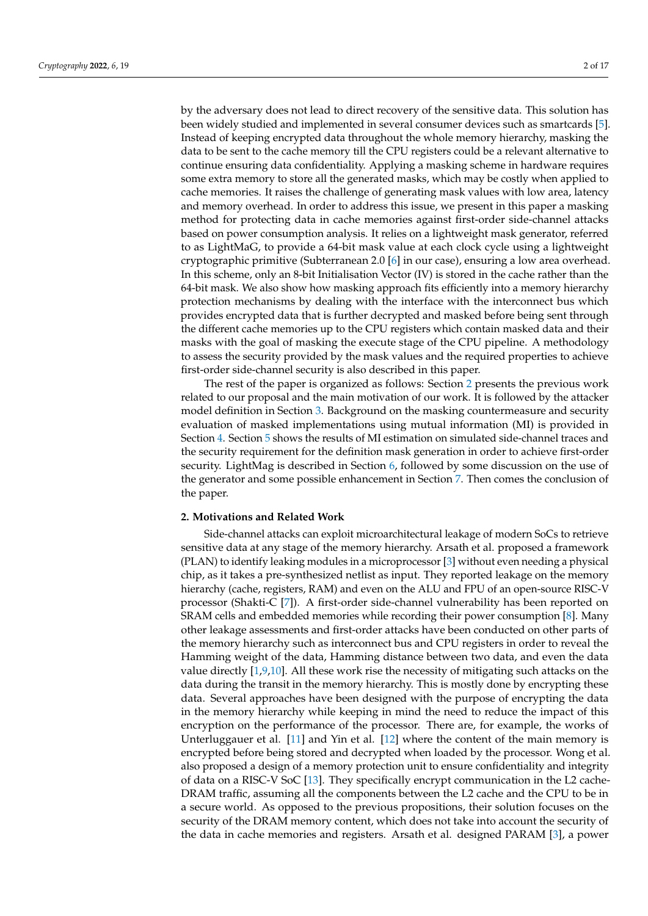by the adversary does not lead to direct recovery of the sensitive data. This solution has been widely studied and implemented in several consumer devices such as smartcards [\[5\]](#page-14-4). Instead of keeping encrypted data throughout the whole memory hierarchy, masking the data to be sent to the cache memory till the CPU registers could be a relevant alternative to continue ensuring data confidentiality. Applying a masking scheme in hardware requires some extra memory to store all the generated masks, which may be costly when applied to cache memories. It raises the challenge of generating mask values with low area, latency and memory overhead. In order to address this issue, we present in this paper a masking method for protecting data in cache memories against first-order side-channel attacks based on power consumption analysis. It relies on a lightweight mask generator, referred to as LightMaG, to provide a 64-bit mask value at each clock cycle using a lightweight cryptographic primitive (Subterranean 2.0 [\[6\]](#page-14-5) in our case), ensuring a low area overhead. In this scheme, only an 8-bit Initialisation Vector (IV) is stored in the cache rather than the 64-bit mask. We also show how masking approach fits efficiently into a memory hierarchy protection mechanisms by dealing with the interface with the interconnect bus which provides encrypted data that is further decrypted and masked before being sent through the different cache memories up to the CPU registers which contain masked data and their masks with the goal of masking the execute stage of the CPU pipeline. A methodology to assess the security provided by the mask values and the required properties to achieve first-order side-channel security is also described in this paper.

The rest of the paper is organized as follows: Section [2](#page-1-0) presents the previous work related to our proposal and the main motivation of our work. It is followed by the attacker model definition in Section [3.](#page-3-0) Background on the masking countermeasure and security evaluation of masked implementations using mutual information (MI) is provided in Section [4.](#page-4-0) Section [5](#page-5-0) shows the results of MI estimation on simulated side-channel traces and the security requirement for the definition mask generation in order to achieve first-order security. LightMag is described in Section [6,](#page-7-0) followed by some discussion on the use of the generator and some possible enhancement in Section [7.](#page-12-0) Then comes the conclusion of the paper.

## <span id="page-1-0"></span>**2. Motivations and Related Work**

Side-channel attacks can exploit microarchitectural leakage of modern SoCs to retrieve sensitive data at any stage of the memory hierarchy. Arsath et al. proposed a framework (PLAN) to identify leaking modules in a microprocessor [\[3\]](#page-14-2) without even needing a physical chip, as it takes a pre-synthesized netlist as input. They reported leakage on the memory hierarchy (cache, registers, RAM) and even on the ALU and FPU of an open-source RISC-V processor (Shakti-C [\[7\]](#page-14-6)). A first-order side-channel vulnerability has been reported on SRAM cells and embedded memories while recording their power consumption [\[8\]](#page-14-7). Many other leakage assessments and first-order attacks have been conducted on other parts of the memory hierarchy such as interconnect bus and CPU registers in order to reveal the Hamming weight of the data, Hamming distance between two data, and even the data value directly [\[1](#page-14-0)[,9](#page-14-8)[,10\]](#page-14-9). All these work rise the necessity of mitigating such attacks on the data during the transit in the memory hierarchy. This is mostly done by encrypting these data. Several approaches have been designed with the purpose of encrypting the data in the memory hierarchy while keeping in mind the need to reduce the impact of this encryption on the performance of the processor. There are, for example, the works of Unterluggauer et al. [\[11\]](#page-14-10) and Yin et al. [\[12\]](#page-15-0) where the content of the main memory is encrypted before being stored and decrypted when loaded by the processor. Wong et al. also proposed a design of a memory protection unit to ensure confidentiality and integrity of data on a RISC-V SoC [\[13\]](#page-15-1). They specifically encrypt communication in the L2 cache-DRAM traffic, assuming all the components between the L2 cache and the CPU to be in a secure world. As opposed to the previous propositions, their solution focuses on the security of the DRAM memory content, which does not take into account the security of the data in cache memories and registers. Arsath et al. designed PARAM [\[3\]](#page-14-2), a power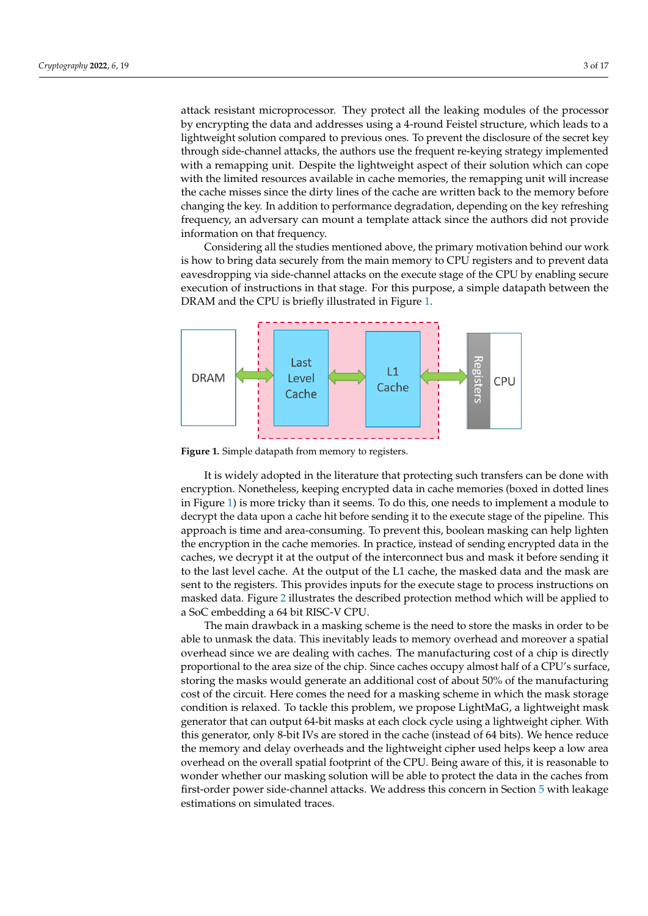attack resistant microprocessor. They protect all the leaking modules of the processor by encrypting the data and addresses using a 4-round Feistel structure, which leads to a lightweight solution compared to previous ones. To prevent the disclosure of the secret key through side-channel attacks, the authors use the frequent re-keying strategy implemented with a remapping unit. Despite the lightweight aspect of their solution which can cope with the limited resources available in cache memories, the remapping unit will increase the cache misses since the dirty lines of the cache are written back to the memory before changing the key. In addition to performance degradation, depending on the key refreshing frequency, an adversary can mount a template attack since the authors did not provide information on that frequency.

Considering all the studies mentioned above, the primary motivation behind our work is how to bring data securely from the main memory to CPU registers and to prevent data eavesdropping via side-channel attacks on the execute stage of the CPU by enabling secure execution of instructions in that stage. For this purpose, a simple datapath between the DRAM and the CPU is briefly illustrated in Figure [1.](#page-2-0)

<span id="page-2-0"></span>

**Figure 1.** Simple datapath from memory to registers.

It is widely adopted in the literature that protecting such transfers can be done with encryption. Nonetheless, keeping encrypted data in cache memories (boxed in dotted lines in Figure [1\)](#page-2-0) is more tricky than it seems. To do this, one needs to implement a module to decrypt the data upon a cache hit before sending it to the execute stage of the pipeline. This approach is time and area-consuming. To prevent this, boolean masking can help lighten the encryption in the cache memories. In practice, instead of sending encrypted data in the caches, we decrypt it at the output of the interconnect bus and mask it before sending it to the last level cache. At the output of the L1 cache, the masked data and the mask are sent to the registers. This provides inputs for the execute stage to process instructions on masked data. Figure [2](#page-3-1) illustrates the described protection method which will be applied to a SoC embedding a 64 bit RISC-V CPU.

The main drawback in a masking scheme is the need to store the masks in order to be able to unmask the data. This inevitably leads to memory overhead and moreover a spatial overhead since we are dealing with caches. The manufacturing cost of a chip is directly proportional to the area size of the chip. Since caches occupy almost half of a CPU's surface, storing the masks would generate an additional cost of about 50% of the manufacturing cost of the circuit. Here comes the need for a masking scheme in which the mask storage condition is relaxed. To tackle this problem, we propose LightMaG, a lightweight mask generator that can output 64-bit masks at each clock cycle using a lightweight cipher. With this generator, only 8-bit IVs are stored in the cache (instead of 64 bits). We hence reduce the memory and delay overheads and the lightweight cipher used helps keep a low area overhead on the overall spatial footprint of the CPU. Being aware of this, it is reasonable to wonder whether our masking solution will be able to protect the data in the caches from first-order power side-channel attacks. We address this concern in Section [5](#page-5-0) with leakage estimations on simulated traces.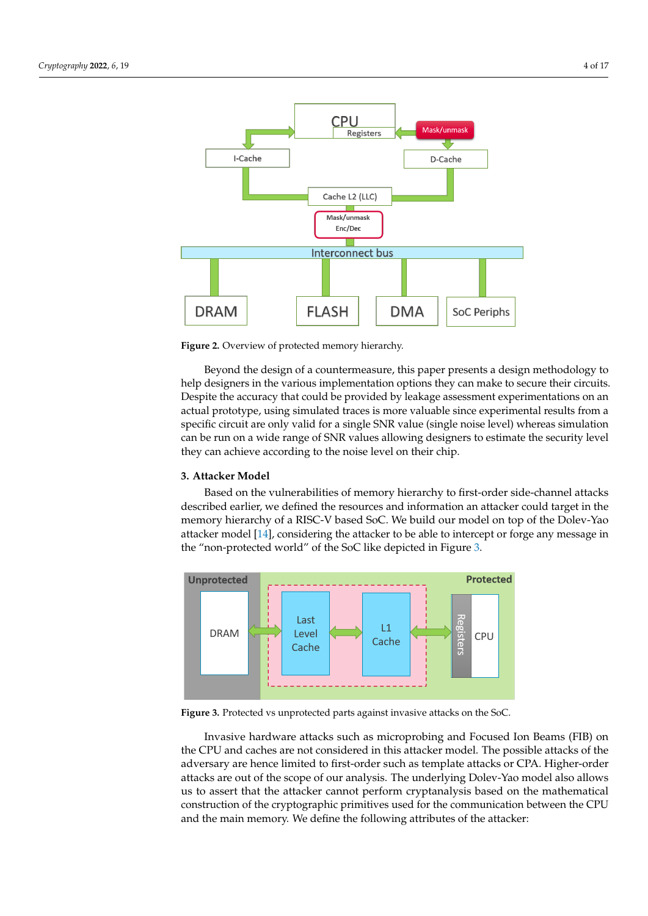<span id="page-3-1"></span>

**Figure 2.** Overview of protected memory hierarchy.

Beyond the design of a countermeasure, this paper presents a design methodology to help designers in the various implementation options they can make to secure their circuits. Despite the accuracy that could be provided by leakage assessment experimentations on an actual prototype, using simulated traces is more valuable since experimental results from a specific circuit are only valid for a single SNR value (single noise level) whereas simulation can be run on a wide range of SNR values allowing designers to estimate the security level they can achieve according to the noise level on their chip.

## <span id="page-3-0"></span>**3. Attacker Model**

Based on the vulnerabilities of memory hierarchy to first-order side-channel attacks described earlier, we defined the resources and information an attacker could target in the memory hierarchy of a RISC-V based SoC. We build our model on top of the Dolev-Yao attacker model [\[14\]](#page-15-2), considering the attacker to be able to intercept or forge any message in the "non-protected world" of the SoC like depicted in Figure [3.](#page-3-2)

<span id="page-3-2"></span>

**Figure 3.** Protected vs unprotected parts against invasive attacks on the SoC.

Invasive hardware attacks such as microprobing and Focused Ion Beams (FIB) on the CPU and caches are not considered in this attacker model. The possible attacks of the adversary are hence limited to first-order such as template attacks or CPA. Higher-order attacks are out of the scope of our analysis. The underlying Dolev-Yao model also allows us to assert that the attacker cannot perform cryptanalysis based on the mathematical construction of the cryptographic primitives used for the communication between the CPU and the main memory. We define the following attributes of the attacker: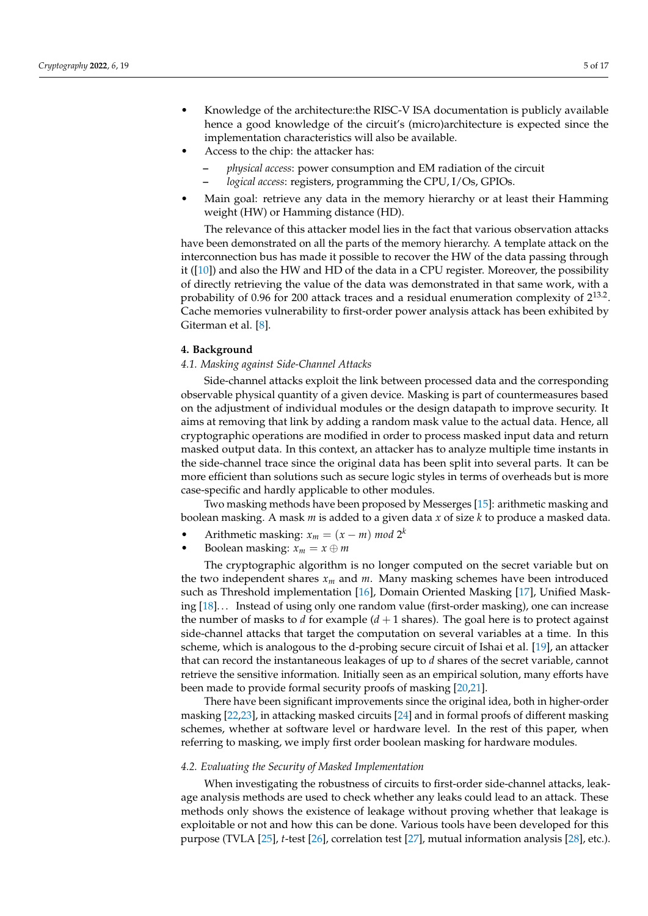- Knowledge of the architecture:the RISC-V ISA documentation is publicly available hence a good knowledge of the circuit's (micro)architecture is expected since the implementation characteristics will also be available.
- Access to the chip: the attacker has:
	- **–** *physical access*: power consumption and EM radiation of the circuit
	- **–** *logical access*: registers, programming the CPU, I/Os, GPIOs.
- Main goal: retrieve any data in the memory hierarchy or at least their Hamming weight (HW) or Hamming distance (HD).

The relevance of this attacker model lies in the fact that various observation attacks have been demonstrated on all the parts of the memory hierarchy. A template attack on the interconnection bus has made it possible to recover the HW of the data passing through it  $([10])$  $([10])$  $([10])$  and also the HW and HD of the data in a CPU register. Moreover, the possibility of directly retrieving the value of the data was demonstrated in that same work, with a probability of 0.96 for 200 attack traces and a residual enumeration complexity of  $2^{13.2}$ . Cache memories vulnerability to first-order power analysis attack has been exhibited by Giterman et al. [\[8\]](#page-14-7).

## <span id="page-4-0"></span>**4. Background**

## *4.1. Masking against Side-Channel Attacks*

Side-channel attacks exploit the link between processed data and the corresponding observable physical quantity of a given device. Masking is part of countermeasures based on the adjustment of individual modules or the design datapath to improve security. It aims at removing that link by adding a random mask value to the actual data. Hence, all cryptographic operations are modified in order to process masked input data and return masked output data. In this context, an attacker has to analyze multiple time instants in the side-channel trace since the original data has been split into several parts. It can be more efficient than solutions such as secure logic styles in terms of overheads but is more case-specific and hardly applicable to other modules.

Two masking methods have been proposed by Messerges [\[15\]](#page-15-3): arithmetic masking and boolean masking. A mask *m* is added to a given data *x* of size *k* to produce a masked data.

- Arithmetic masking:  $x_m = (x m) \mod 2^k$
- Boolean masking:  $x_m = x \oplus m$

The cryptographic algorithm is no longer computed on the secret variable but on the two independent shares *x<sup>m</sup>* and *m*. Many masking schemes have been introduced such as Threshold implementation [\[16\]](#page-15-4), Domain Oriented Masking [\[17\]](#page-15-5), Unified Masking [\[18\]](#page-15-6). . . Instead of using only one random value (first-order masking), one can increase the number of masks to *d* for example  $(d + 1)$  shares). The goal here is to protect against side-channel attacks that target the computation on several variables at a time. In this scheme, which is analogous to the d-probing secure circuit of Ishai et al. [\[19\]](#page-15-7), an attacker that can record the instantaneous leakages of up to *d* shares of the secret variable, cannot retrieve the sensitive information. Initially seen as an empirical solution, many efforts have been made to provide formal security proofs of masking [\[20](#page-15-8)[,21\]](#page-15-9).

There have been significant improvements since the original idea, both in higher-order masking [\[22](#page-15-10)[,23\]](#page-15-11), in attacking masked circuits [\[24\]](#page-15-12) and in formal proofs of different masking schemes, whether at software level or hardware level. In the rest of this paper, when referring to masking, we imply first order boolean masking for hardware modules.

# *4.2. Evaluating the Security of Masked Implementation*

When investigating the robustness of circuits to first-order side-channel attacks, leakage analysis methods are used to check whether any leaks could lead to an attack. These methods only shows the existence of leakage without proving whether that leakage is exploitable or not and how this can be done. Various tools have been developed for this purpose (TVLA [\[25\]](#page-15-13), *t*-test [\[26\]](#page-15-14), correlation test [\[27\]](#page-15-15), mutual information analysis [\[28\]](#page-15-16), etc.).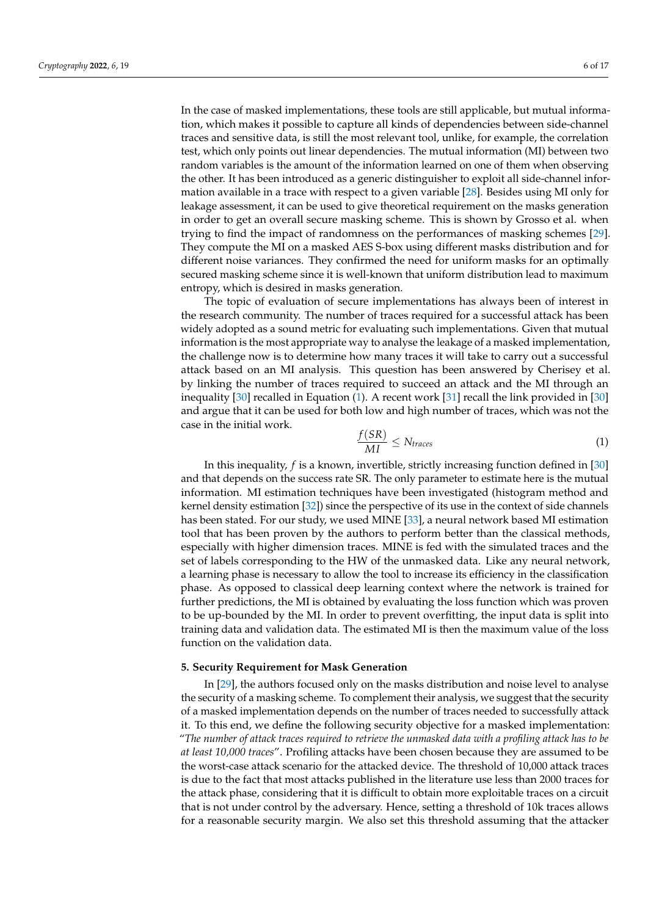In the case of masked implementations, these tools are still applicable, but mutual information, which makes it possible to capture all kinds of dependencies between side-channel traces and sensitive data, is still the most relevant tool, unlike, for example, the correlation test, which only points out linear dependencies. The mutual information (MI) between two random variables is the amount of the information learned on one of them when observing the other. It has been introduced as a generic distinguisher to exploit all side-channel information available in a trace with respect to a given variable [\[28\]](#page-15-16). Besides using MI only for leakage assessment, it can be used to give theoretical requirement on the masks generation in order to get an overall secure masking scheme. This is shown by Grosso et al. when trying to find the impact of randomness on the performances of masking schemes [\[29\]](#page-15-17). They compute the MI on a masked AES S-box using different masks distribution and for different noise variances. They confirmed the need for uniform masks for an optimally secured masking scheme since it is well-known that uniform distribution lead to maximum entropy, which is desired in masks generation.

The topic of evaluation of secure implementations has always been of interest in the research community. The number of traces required for a successful attack has been widely adopted as a sound metric for evaluating such implementations. Given that mutual information is the most appropriate way to analyse the leakage of a masked implementation, the challenge now is to determine how many traces it will take to carry out a successful attack based on an MI analysis. This question has been answered by Cherisey et al. by linking the number of traces required to succeed an attack and the MI through an inequality [\[30\]](#page-15-18) recalled in Equation [\(1\)](#page-5-1). A recent work [\[31\]](#page-15-19) recall the link provided in [\[30\]](#page-15-18) and argue that it can be used for both low and high number of traces, which was not the case in the initial work.

<span id="page-5-1"></span>
$$
\frac{f(SR)}{MI} \le N_{traces} \tag{1}
$$

In this inequality, *f* is a known, invertible, strictly increasing function defined in [\[30\]](#page-15-18) and that depends on the success rate SR. The only parameter to estimate here is the mutual information. MI estimation techniques have been investigated (histogram method and kernel density estimation [\[32\]](#page-15-20)) since the perspective of its use in the context of side channels has been stated. For our study, we used MINE [\[33\]](#page-15-21), a neural network based MI estimation tool that has been proven by the authors to perform better than the classical methods, especially with higher dimension traces. MINE is fed with the simulated traces and the set of labels corresponding to the HW of the unmasked data. Like any neural network, a learning phase is necessary to allow the tool to increase its efficiency in the classification phase. As opposed to classical deep learning context where the network is trained for further predictions, the MI is obtained by evaluating the loss function which was proven to be up-bounded by the MI. In order to prevent overfitting, the input data is split into training data and validation data. The estimated MI is then the maximum value of the loss function on the validation data.

#### <span id="page-5-0"></span>**5. Security Requirement for Mask Generation**

In [\[29\]](#page-15-17), the authors focused only on the masks distribution and noise level to analyse the security of a masking scheme. To complement their analysis, we suggest that the security of a masked implementation depends on the number of traces needed to successfully attack it. To this end, we define the following security objective for a masked implementation: "*The number of attack traces required to retrieve the unmasked data with a profiling attack has to be at least 10,000 traces*". Profiling attacks have been chosen because they are assumed to be the worst-case attack scenario for the attacked device. The threshold of 10,000 attack traces is due to the fact that most attacks published in the literature use less than 2000 traces for the attack phase, considering that it is difficult to obtain more exploitable traces on a circuit that is not under control by the adversary. Hence, setting a threshold of 10k traces allows for a reasonable security margin. We also set this threshold assuming that the attacker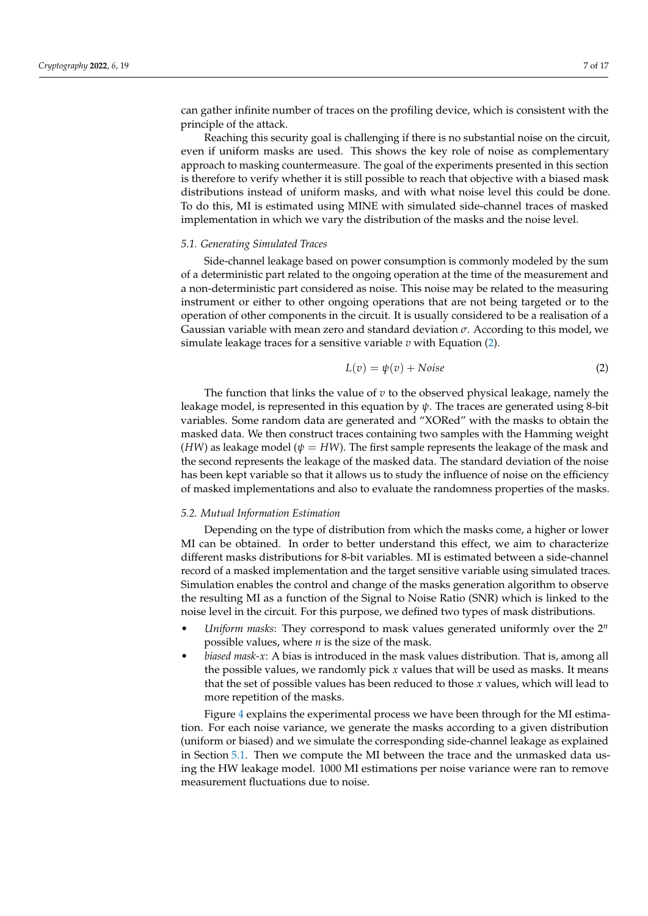can gather infinite number of traces on the profiling device, which is consistent with the principle of the attack.

Reaching this security goal is challenging if there is no substantial noise on the circuit, even if uniform masks are used. This shows the key role of noise as complementary approach to masking countermeasure. The goal of the experiments presented in this section is therefore to verify whether it is still possible to reach that objective with a biased mask distributions instead of uniform masks, and with what noise level this could be done. To do this, MI is estimated using MINE with simulated side-channel traces of masked implementation in which we vary the distribution of the masks and the noise level.

## <span id="page-6-1"></span>*5.1. Generating Simulated Traces*

Side-channel leakage based on power consumption is commonly modeled by the sum of a deterministic part related to the ongoing operation at the time of the measurement and a non-deterministic part considered as noise. This noise may be related to the measuring instrument or either to other ongoing operations that are not being targeted or to the operation of other components in the circuit. It is usually considered to be a realisation of a Gaussian variable with mean zero and standard deviation *σ*. According to this model, we simulate leakage traces for a sensitive variable *v* with Equation [\(2\)](#page-6-0).

<span id="page-6-0"></span>
$$
L(v) = \psi(v) + Noise
$$
 (2)

The function that links the value of *v* to the observed physical leakage, namely the leakage model, is represented in this equation by *ψ*. The traces are generated using 8-bit variables. Some random data are generated and "XORed" with the masks to obtain the masked data. We then construct traces containing two samples with the Hamming weight (*HW*) as leakage model ( $\psi = HW$ ). The first sample represents the leakage of the mask and the second represents the leakage of the masked data. The standard deviation of the noise has been kept variable so that it allows us to study the influence of noise on the efficiency of masked implementations and also to evaluate the randomness properties of the masks.

## *5.2. Mutual Information Estimation*

Depending on the type of distribution from which the masks come, a higher or lower MI can be obtained. In order to better understand this effect, we aim to characterize different masks distributions for 8-bit variables. MI is estimated between a side-channel record of a masked implementation and the target sensitive variable using simulated traces. Simulation enables the control and change of the masks generation algorithm to observe the resulting MI as a function of the Signal to Noise Ratio (SNR) which is linked to the noise level in the circuit. For this purpose, we defined two types of mask distributions.

- *Uniform masks*: They correspond to mask values generated uniformly over the 2<sup>n</sup> possible values, where *n* is the size of the mask.
- *biased mask-x*: A bias is introduced in the mask values distribution. That is, among all the possible values, we randomly pick *x* values that will be used as masks. It means that the set of possible values has been reduced to those *x* values, which will lead to more repetition of the masks.

Figure [4](#page-7-1) explains the experimental process we have been through for the MI estimation. For each noise variance, we generate the masks according to a given distribution (uniform or biased) and we simulate the corresponding side-channel leakage as explained in Section [5.1.](#page-6-1) Then we compute the MI between the trace and the unmasked data using the HW leakage model. 1000 MI estimations per noise variance were ran to remove measurement fluctuations due to noise.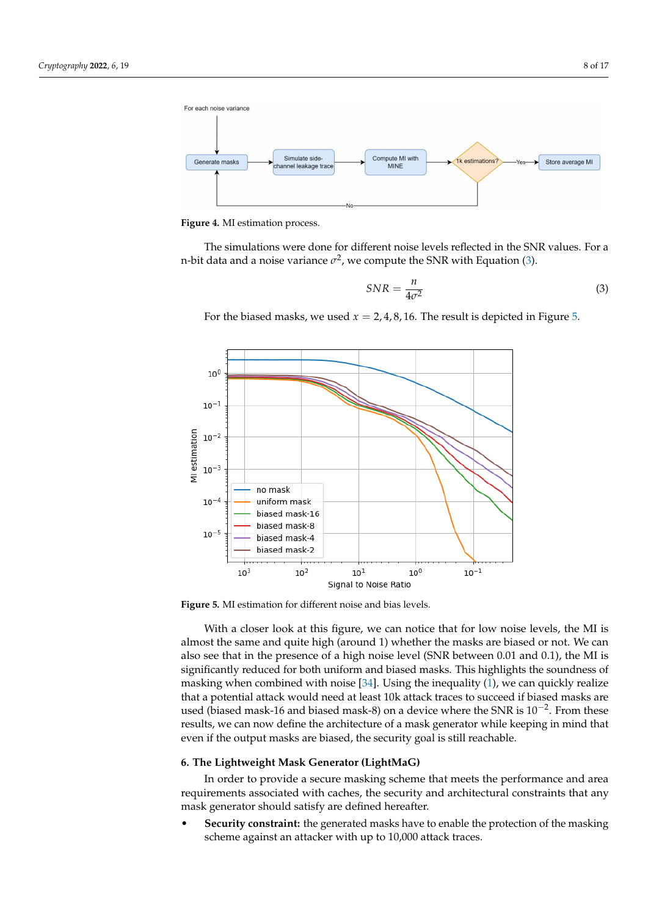<span id="page-7-1"></span>

**Figure 4.** MI estimation process.

The simulations were done for different noise levels reflected in the SNR values. For a n-bit data and a noise variance  $\sigma^2$ , we compute the SNR with Equation [\(3\)](#page-7-2).

<span id="page-7-2"></span>
$$
SNR = \frac{n}{4\sigma^2} \tag{3}
$$

For the biased masks, we used  $x = 2, 4, 8, 16$ . The result is depicted in Figure [5.](#page-7-3)

<span id="page-7-3"></span>

**Figure 5.** MI estimation for different noise and bias levels.

With a closer look at this figure, we can notice that for low noise levels, the MI is almost the same and quite high (around 1) whether the masks are biased or not. We can also see that in the presence of a high noise level (SNR between 0.01 and 0.1), the MI is significantly reduced for both uniform and biased masks. This highlights the soundness of masking when combined with noise  $[34]$ . Using the inequality  $(1)$ , we can quickly realize that a potential attack would need at least 10k attack traces to succeed if biased masks are used (biased mask-16 and biased mask-8) on a device where the SNR is  $10^{-2}$ . From these results, we can now define the architecture of a mask generator while keeping in mind that even if the output masks are biased, the security goal is still reachable.

#### <span id="page-7-0"></span>**6. The Lightweight Mask Generator (LightMaG)**

In order to provide a secure masking scheme that meets the performance and area requirements associated with caches, the security and architectural constraints that any mask generator should satisfy are defined hereafter.

• **Security constraint:** the generated masks have to enable the protection of the masking scheme against an attacker with up to 10,000 attack traces.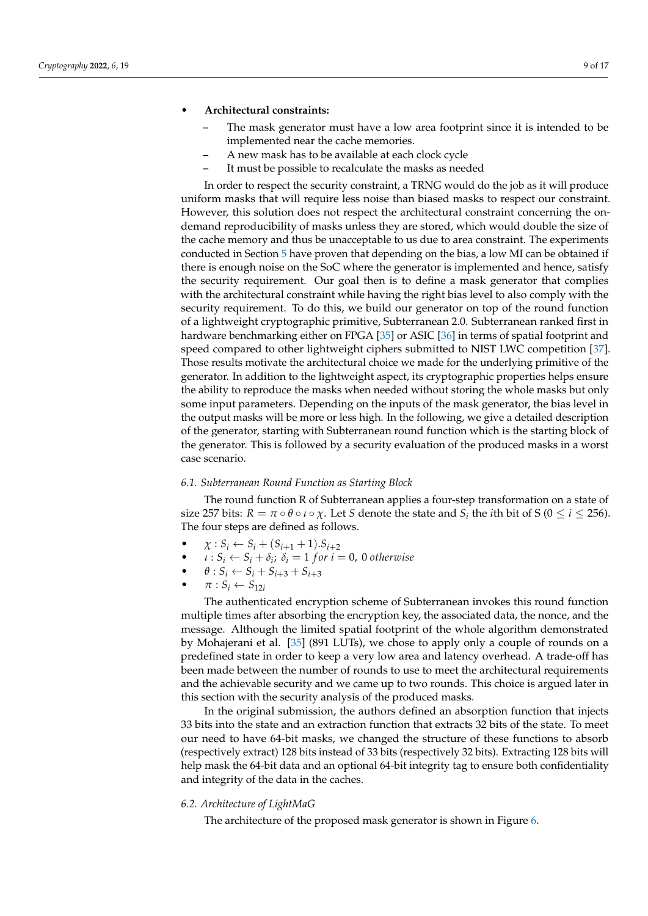## • **Architectural constraints:**

- **–** The mask generator must have a low area footprint since it is intended to be implemented near the cache memories.
- **–** A new mask has to be available at each clock cycle
- **–** It must be possible to recalculate the masks as needed

In order to respect the security constraint, a TRNG would do the job as it will produce uniform masks that will require less noise than biased masks to respect our constraint. However, this solution does not respect the architectural constraint concerning the ondemand reproducibility of masks unless they are stored, which would double the size of the cache memory and thus be unacceptable to us due to area constraint. The experiments conducted in Section [5](#page-5-0) have proven that depending on the bias, a low MI can be obtained if there is enough noise on the SoC where the generator is implemented and hence, satisfy the security requirement. Our goal then is to define a mask generator that complies with the architectural constraint while having the right bias level to also comply with the security requirement. To do this, we build our generator on top of the round function of a lightweight cryptographic primitive, Subterranean 2.0. Subterranean ranked first in hardware benchmarking either on FPGA [\[35\]](#page-15-23) or ASIC [\[36\]](#page-15-24) in terms of spatial footprint and speed compared to other lightweight ciphers submitted to NIST LWC competition [\[37\]](#page-15-25). Those results motivate the architectural choice we made for the underlying primitive of the generator. In addition to the lightweight aspect, its cryptographic properties helps ensure the ability to reproduce the masks when needed without storing the whole masks but only some input parameters. Depending on the inputs of the mask generator, the bias level in the output masks will be more or less high. In the following, we give a detailed description of the generator, starting with Subterranean round function which is the starting block of the generator. This is followed by a security evaluation of the produced masks in a worst case scenario.

## *6.1. Subterranean Round Function as Starting Block*

The round function R of Subterranean applies a four-step transformation on a state of size 257 bits:  $R = \pi \circ \theta \circ \iota \circ \chi$ . Let *S* denote the state and  $S_i$  the *i*th bit of S ( $0 \leq i \leq 256$ ). The four steps are defined as follows.

- $\chi: S_i \leftarrow S_i + (S_{i+1} + 1).S_{i+2}$
- $\iota : S_i \leftarrow S_i + \delta_i; \delta_i = 1$  *for*  $i = 0$ , 0 *otherwise*
- $\theta$  :  $S_i \leftarrow S_i + S_{i+3} + S_{i+3}$
- $\pi: S_i \leftarrow S_{12i}$

The authenticated encryption scheme of Subterranean invokes this round function multiple times after absorbing the encryption key, the associated data, the nonce, and the message. Although the limited spatial footprint of the whole algorithm demonstrated by Mohajerani et al. [\[35\]](#page-15-23) (891 LUTs), we chose to apply only a couple of rounds on a predefined state in order to keep a very low area and latency overhead. A trade-off has been made between the number of rounds to use to meet the architectural requirements and the achievable security and we came up to two rounds. This choice is argued later in this section with the security analysis of the produced masks.

In the original submission, the authors defined an absorption function that injects 33 bits into the state and an extraction function that extracts 32 bits of the state. To meet our need to have 64-bit masks, we changed the structure of these functions to absorb (respectively extract) 128 bits instead of 33 bits (respectively 32 bits). Extracting 128 bits will help mask the 64-bit data and an optional 64-bit integrity tag to ensure both confidentiality and integrity of the data in the caches.

## *6.2. Architecture of LightMaG*

The architecture of the proposed mask generator is shown in Figure [6.](#page-9-0)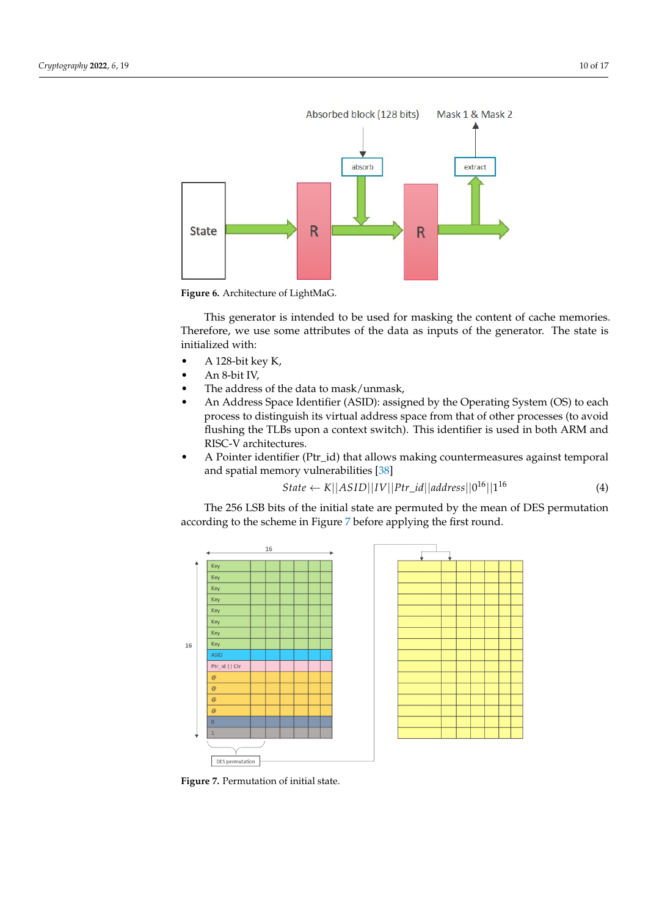<span id="page-9-0"></span>

**Figure 6.** Architecture of LightMaG.

This generator is intended to be used for masking the content of cache memories. Therefore, we use some attributes of the data as inputs of the generator. The state is initialized with:

- A 128-bit key K,
- An 8-bit IV,
- The address of the data to mask/unmask,
- An Address Space Identifier (ASID): assigned by the Operating System (OS) to each process to distinguish its virtual address space from that of other processes (to avoid flushing the TLBs upon a context switch). This identifier is used in both ARM and RISC-V architectures.
- A Pointer identifier (Ptr\_id) that allows making countermeasures against temporal and spatial memory vulnerabilities [\[38\]](#page-16-0)

$$
State \leftarrow K||ASID||IV||Ptr_id||address||0^{16}||1^{16}
$$
 (4)

The 256 LSB bits of the initial state are permuted by the mean of DES permutation according to the scheme in Figure [7](#page-9-1) before applying the first round.

<span id="page-9-1"></span>

**Figure 7.** Permutation of initial state.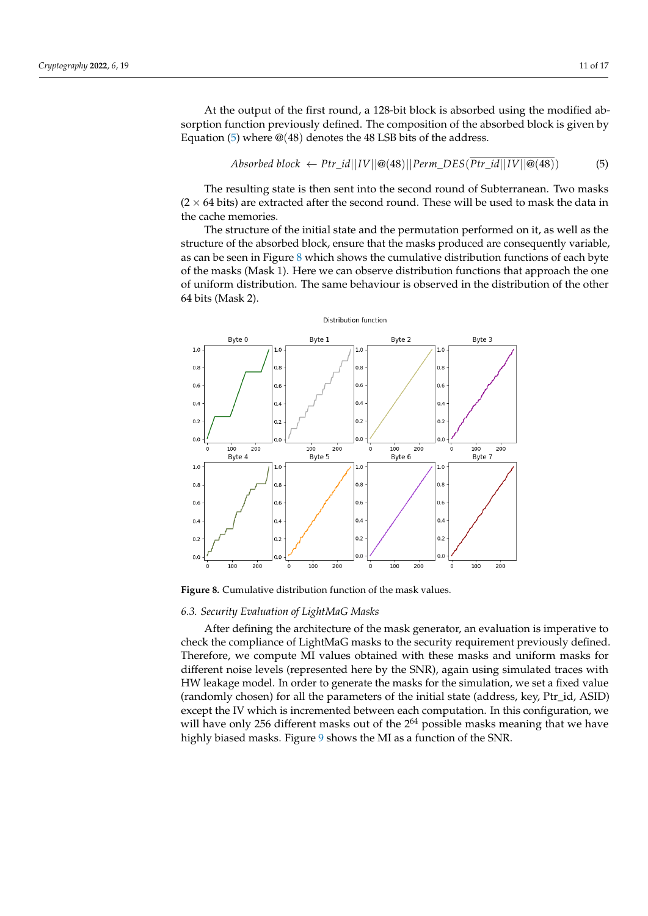At the output of the first round, a 128-bit block is absorbed using the modified absorption function previously defined. The composition of the absorbed block is given by Equation [\(5\)](#page-10-0) where  $\mathcal{Q}(48)$  denotes the 48 LSB bits of the address.

<span id="page-10-0"></span>
$$
Absorbed \ block \leftarrow Ptr\_id||IV||@(48)||Perm\_DES(\overline{Ptr\_id}||IV||@(48))
$$
 (5)

The resulting state is then sent into the second round of Subterranean. Two masks  $(2 \times 64 \text{ bits})$  are extracted after the second round. These will be used to mask the data in the cache memories.

The structure of the initial state and the permutation performed on it, as well as the structure of the absorbed block, ensure that the masks produced are consequently variable, as can be seen in Figure [8](#page-10-1) which shows the cumulative distribution functions of each byte of the masks (Mask 1). Here we can observe distribution functions that approach the one of uniform distribution. The same behaviour is observed in the distribution of the other 64 bits (Mask 2).

<span id="page-10-1"></span>

**Figure 8.** Cumulative distribution function of the mask values.

# <span id="page-10-2"></span>*6.3. Security Evaluation of LightMaG Masks*

After defining the architecture of the mask generator, an evaluation is imperative to check the compliance of LightMaG masks to the security requirement previously defined. Therefore, we compute MI values obtained with these masks and uniform masks for different noise levels (represented here by the SNR), again using simulated traces with HW leakage model. In order to generate the masks for the simulation, we set a fixed value (randomly chosen) for all the parameters of the initial state (address, key, Ptr\_id, ASID) except the IV which is incremented between each computation. In this configuration, we will have only 256 different masks out of the  $2^{64}$  possible masks meaning that we have highly biased masks. Figure [9](#page-11-0) shows the MI as a function of the SNR.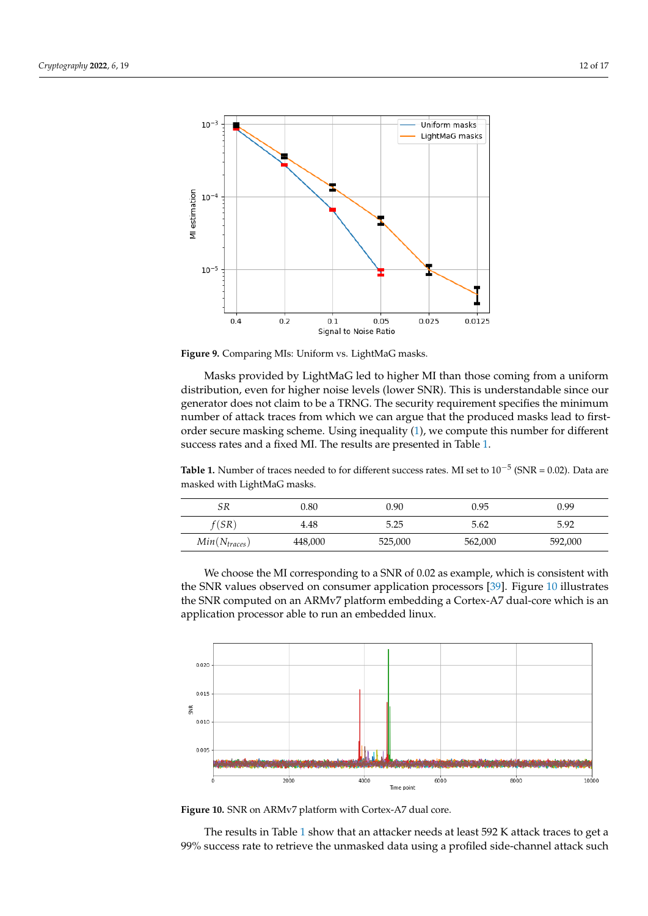<span id="page-11-0"></span>

**Figure 9.** Comparing MIs: Uniform vs. LightMaG masks.

Masks provided by LightMaG led to higher MI than those coming from a uniform distribution, even for higher noise levels (lower SNR). This is understandable since our generator does not claim to be a TRNG. The security requirement specifies the minimum number of attack traces from which we can argue that the produced masks lead to firstorder secure masking scheme. Using inequality [\(1\)](#page-5-1), we compute this number for different success rates and a fixed MI. The results are presented in Table [1.](#page-11-1)

<span id="page-11-1"></span>**Table 1.** Number of traces needed to for different success rates. MI set to 10−<sup>5</sup> (SNR = 0.02). Data are masked with LightMaG masks.

| SR                        | 0.80    | 0.90    | 0.95    | 0.99    |
|---------------------------|---------|---------|---------|---------|
| f(SR)                     | 4.48    | 5.25    | 5.62    | 5.92    |
| Min(N <sub>traces</sub> ) | 448,000 | 525,000 | 562,000 | 592,000 |

We choose the MI corresponding to a SNR of 0.02 as example, which is consistent with the SNR values observed on consumer application processors [\[39\]](#page-16-1). Figure [10](#page-11-2) illustrates the SNR computed on an ARMv7 platform embedding a Cortex-A7 dual-core which is an application processor able to run an embedded linux.

<span id="page-11-2"></span>

**Figure 10.** SNR on ARMv7 platform with Cortex-A7 dual core.

The results in Table [1](#page-11-1) show that an attacker needs at least 592 K attack traces to get a 99% success rate to retrieve the unmasked data using a profiled side-channel attack such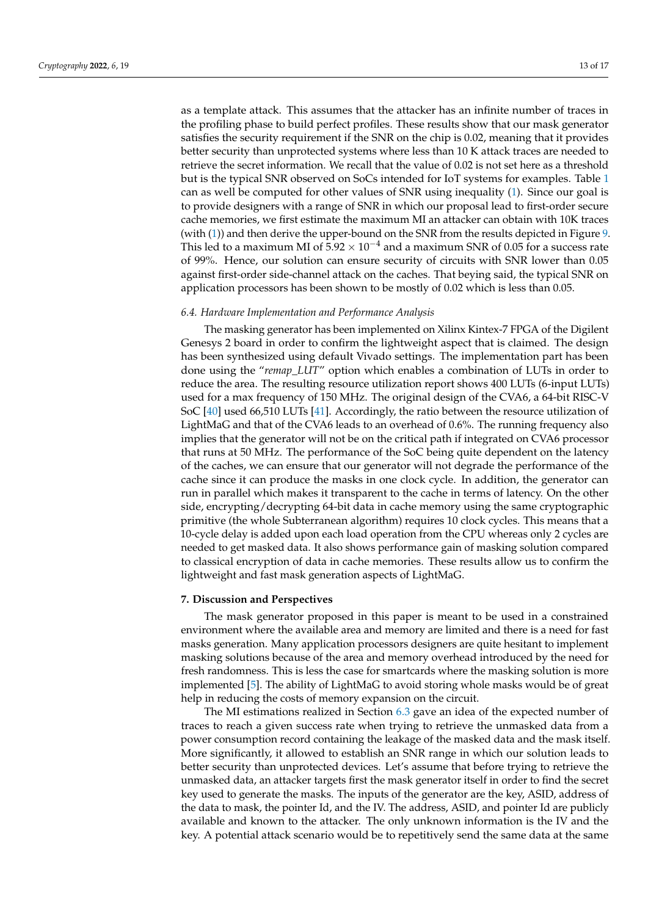as a template attack. This assumes that the attacker has an infinite number of traces in the profiling phase to build perfect profiles. These results show that our mask generator satisfies the security requirement if the SNR on the chip is 0.02, meaning that it provides better security than unprotected systems where less than 10 K attack traces are needed to retrieve the secret information. We recall that the value of 0.02 is not set here as a threshold but is the typical SNR observed on SoCs intended for IoT systems for examples. Table [1](#page-11-1) can as well be computed for other values of SNR using inequality [\(1\)](#page-5-1). Since our goal is to provide designers with a range of SNR in which our proposal lead to first-order secure cache memories, we first estimate the maximum MI an attacker can obtain with 10K traces (with [\(1\)](#page-5-1)) and then derive the upper-bound on the SNR from the results depicted in Figure [9.](#page-11-0) This led to a maximum MI of  $5.92 \times 10^{-4}$  and a maximum SNR of 0.05 for a success rate of 99%. Hence, our solution can ensure security of circuits with SNR lower than 0.05 against first-order side-channel attack on the caches. That beying said, the typical SNR on application processors has been shown to be mostly of 0.02 which is less than 0.05.

## *6.4. Hardware Implementation and Performance Analysis*

The masking generator has been implemented on Xilinx Kintex-7 FPGA of the Digilent Genesys 2 board in order to confirm the lightweight aspect that is claimed. The design has been synthesized using default Vivado settings. The implementation part has been done using the "*remap\_LUT*" option which enables a combination of LUTs in order to reduce the area. The resulting resource utilization report shows 400 LUTs (6-input LUTs) used for a max frequency of 150 MHz. The original design of the CVA6, a 64-bit RISC-V SoC [\[40\]](#page-16-2) used 66,510 LUTs [\[41\]](#page-16-3). Accordingly, the ratio between the resource utilization of LightMaG and that of the CVA6 leads to an overhead of 0.6%. The running frequency also implies that the generator will not be on the critical path if integrated on CVA6 processor that runs at 50 MHz. The performance of the SoC being quite dependent on the latency of the caches, we can ensure that our generator will not degrade the performance of the cache since it can produce the masks in one clock cycle. In addition, the generator can run in parallel which makes it transparent to the cache in terms of latency. On the other side, encrypting/decrypting 64-bit data in cache memory using the same cryptographic primitive (the whole Subterranean algorithm) requires 10 clock cycles. This means that a 10-cycle delay is added upon each load operation from the CPU whereas only 2 cycles are needed to get masked data. It also shows performance gain of masking solution compared to classical encryption of data in cache memories. These results allow us to confirm the lightweight and fast mask generation aspects of LightMaG.

## <span id="page-12-0"></span>**7. Discussion and Perspectives**

The mask generator proposed in this paper is meant to be used in a constrained environment where the available area and memory are limited and there is a need for fast masks generation. Many application processors designers are quite hesitant to implement masking solutions because of the area and memory overhead introduced by the need for fresh randomness. This is less the case for smartcards where the masking solution is more implemented [\[5\]](#page-14-4). The ability of LightMaG to avoid storing whole masks would be of great help in reducing the costs of memory expansion on the circuit.

The MI estimations realized in Section [6.3](#page-10-2) gave an idea of the expected number of traces to reach a given success rate when trying to retrieve the unmasked data from a power consumption record containing the leakage of the masked data and the mask itself. More significantly, it allowed to establish an SNR range in which our solution leads to better security than unprotected devices. Let's assume that before trying to retrieve the unmasked data, an attacker targets first the mask generator itself in order to find the secret key used to generate the masks. The inputs of the generator are the key, ASID, address of the data to mask, the pointer Id, and the IV. The address, ASID, and pointer Id are publicly available and known to the attacker. The only unknown information is the IV and the key. A potential attack scenario would be to repetitively send the same data at the same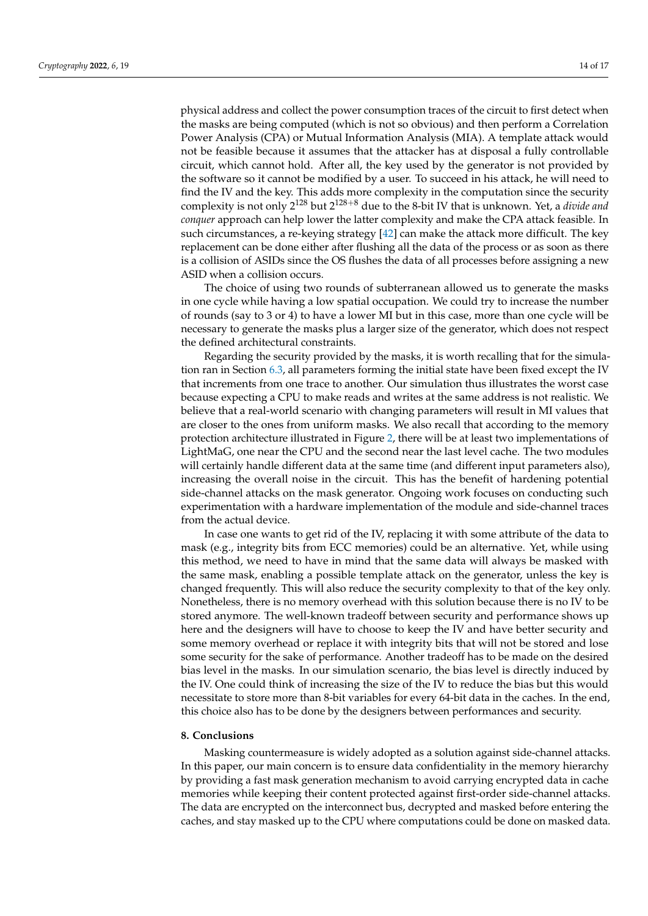physical address and collect the power consumption traces of the circuit to first detect when the masks are being computed (which is not so obvious) and then perform a Correlation Power Analysis (CPA) or Mutual Information Analysis (MIA). A template attack would not be feasible because it assumes that the attacker has at disposal a fully controllable circuit, which cannot hold. After all, the key used by the generator is not provided by the software so it cannot be modified by a user. To succeed in his attack, he will need to find the IV and the key. This adds more complexity in the computation since the security complexity is not only 2 <sup>128</sup> but 2 <sup>128</sup>+<sup>8</sup> due to the 8-bit IV that is unknown. Yet, a *divide and conquer* approach can help lower the latter complexity and make the CPA attack feasible. In such circumstances, a re-keying strategy [\[42\]](#page-16-4) can make the attack more difficult. The key replacement can be done either after flushing all the data of the process or as soon as there is a collision of ASIDs since the OS flushes the data of all processes before assigning a new ASID when a collision occurs.

The choice of using two rounds of subterranean allowed us to generate the masks in one cycle while having a low spatial occupation. We could try to increase the number of rounds (say to 3 or 4) to have a lower MI but in this case, more than one cycle will be necessary to generate the masks plus a larger size of the generator, which does not respect the defined architectural constraints.

Regarding the security provided by the masks, it is worth recalling that for the simulation ran in Section [6.3,](#page-10-2) all parameters forming the initial state have been fixed except the IV that increments from one trace to another. Our simulation thus illustrates the worst case because expecting a CPU to make reads and writes at the same address is not realistic. We believe that a real-world scenario with changing parameters will result in MI values that are closer to the ones from uniform masks. We also recall that according to the memory protection architecture illustrated in Figure [2,](#page-3-1) there will be at least two implementations of LightMaG, one near the CPU and the second near the last level cache. The two modules will certainly handle different data at the same time (and different input parameters also), increasing the overall noise in the circuit. This has the benefit of hardening potential side-channel attacks on the mask generator. Ongoing work focuses on conducting such experimentation with a hardware implementation of the module and side-channel traces from the actual device.

In case one wants to get rid of the IV, replacing it with some attribute of the data to mask (e.g., integrity bits from ECC memories) could be an alternative. Yet, while using this method, we need to have in mind that the same data will always be masked with the same mask, enabling a possible template attack on the generator, unless the key is changed frequently. This will also reduce the security complexity to that of the key only. Nonetheless, there is no memory overhead with this solution because there is no IV to be stored anymore. The well-known tradeoff between security and performance shows up here and the designers will have to choose to keep the IV and have better security and some memory overhead or replace it with integrity bits that will not be stored and lose some security for the sake of performance. Another tradeoff has to be made on the desired bias level in the masks. In our simulation scenario, the bias level is directly induced by the IV. One could think of increasing the size of the IV to reduce the bias but this would necessitate to store more than 8-bit variables for every 64-bit data in the caches. In the end, this choice also has to be done by the designers between performances and security.

## **8. Conclusions**

Masking countermeasure is widely adopted as a solution against side-channel attacks. In this paper, our main concern is to ensure data confidentiality in the memory hierarchy by providing a fast mask generation mechanism to avoid carrying encrypted data in cache memories while keeping their content protected against first-order side-channel attacks. The data are encrypted on the interconnect bus, decrypted and masked before entering the caches, and stay masked up to the CPU where computations could be done on masked data.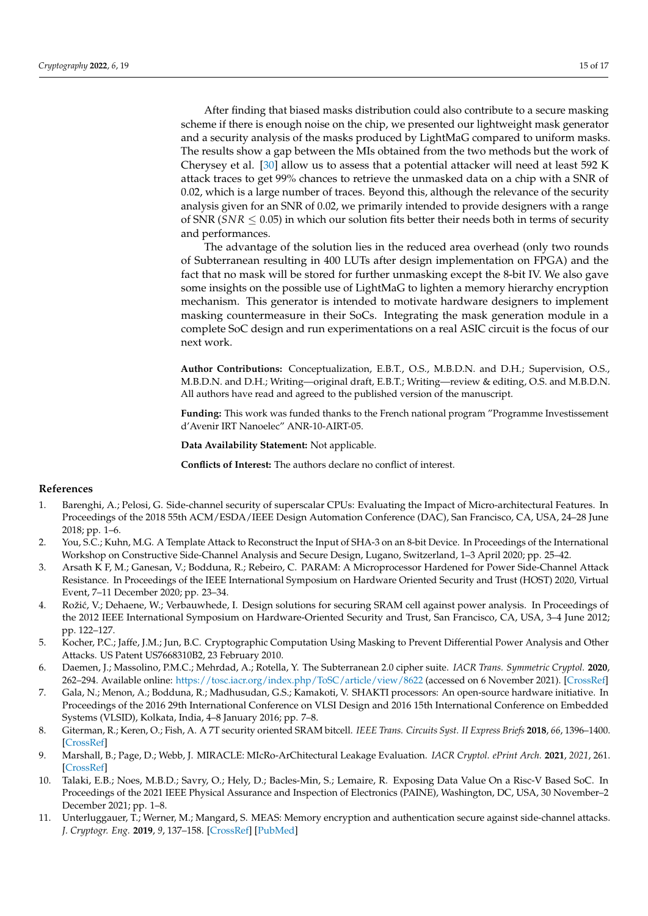After finding that biased masks distribution could also contribute to a secure masking scheme if there is enough noise on the chip, we presented our lightweight mask generator and a security analysis of the masks produced by LightMaG compared to uniform masks. The results show a gap between the MIs obtained from the two methods but the work of Cherysey et al. [\[30\]](#page-15-18) allow us to assess that a potential attacker will need at least 592 K attack traces to get 99% chances to retrieve the unmasked data on a chip with a SNR of 0.02, which is a large number of traces. Beyond this, although the relevance of the security analysis given for an SNR of 0.02, we primarily intended to provide designers with a range of SNR  $(SNR \leq 0.05)$  in which our solution fits better their needs both in terms of security and performances.

The advantage of the solution lies in the reduced area overhead (only two rounds of Subterranean resulting in 400 LUTs after design implementation on FPGA) and the fact that no mask will be stored for further unmasking except the 8-bit IV. We also gave some insights on the possible use of LightMaG to lighten a memory hierarchy encryption mechanism. This generator is intended to motivate hardware designers to implement masking countermeasure in their SoCs. Integrating the mask generation module in a complete SoC design and run experimentations on a real ASIC circuit is the focus of our next work.

**Author Contributions:** Conceptualization, E.B.T., O.S., M.B.D.N. and D.H.; Supervision, O.S., M.B.D.N. and D.H.; Writing—original draft, E.B.T.; Writing—review & editing, O.S. and M.B.D.N. All authors have read and agreed to the published version of the manuscript.

**Funding:** This work was funded thanks to the French national program "Programme Investissement d'Avenir IRT Nanoelec" ANR-10-AIRT-05.

**Data Availability Statement:** Not applicable.

**Conflicts of Interest:** The authors declare no conflict of interest.

# **References**

- <span id="page-14-0"></span>1. Barenghi, A.; Pelosi, G. Side-channel security of superscalar CPUs: Evaluating the Impact of Micro-architectural Features. In Proceedings of the 2018 55th ACM/ESDA/IEEE Design Automation Conference (DAC), San Francisco, CA, USA, 24–28 June 2018; pp. 1–6.
- <span id="page-14-1"></span>2. You, S.C.; Kuhn, M.G. A Template Attack to Reconstruct the Input of SHA-3 on an 8-bit Device. In Proceedings of the International Workshop on Constructive Side-Channel Analysis and Secure Design, Lugano, Switzerland, 1–3 April 2020; pp. 25–42.
- <span id="page-14-2"></span>3. Arsath K F, M.; Ganesan, V.; Bodduna, R.; Rebeiro, C. PARAM: A Microprocessor Hardened for Power Side-Channel Attack Resistance. In Proceedings of the IEEE International Symposium on Hardware Oriented Security and Trust (HOST) 2020, Virtual Event, 7–11 December 2020; pp. 23–34.
- <span id="page-14-3"></span>4. Rožić, V.; Dehaene, W.; Verbauwhede, I. Design solutions for securing SRAM cell against power analysis. In Proceedings of the 2012 IEEE International Symposium on Hardware-Oriented Security and Trust, San Francisco, CA, USA, 3–4 June 2012; pp. 122–127.
- <span id="page-14-4"></span>5. Kocher, P.C.; Jaffe, J.M.; Jun, B.C. Cryptographic Computation Using Masking to Prevent Differential Power Analysis and Other Attacks. US Patent US7668310B2, 23 February 2010.
- <span id="page-14-5"></span>6. Daemen, J.; Massolino, P.M.C.; Mehrdad, A.; Rotella, Y. The Subterranean 2.0 cipher suite. *IACR Trans. Symmetric Cryptol.* **2020**, 262–294. Available online: <https://tosc.iacr.org/index.php/ToSC/article/view/8622> (accessed on 6 November 2021). [\[CrossRef\]](http://doi.org/10.46586/tosc.v2020.iS1.262-294)
- <span id="page-14-6"></span>7. Gala, N.; Menon, A.; Bodduna, R.; Madhusudan, G.S.; Kamakoti, V. SHAKTI processors: An open-source hardware initiative. In Proceedings of the 2016 29th International Conference on VLSI Design and 2016 15th International Conference on Embedded Systems (VLSID), Kolkata, India, 4–8 January 2016; pp. 7–8.
- <span id="page-14-7"></span>8. Giterman, R.; Keren, O.; Fish, A. A 7T security oriented SRAM bitcell. *IEEE Trans. Circuits Syst. II Express Briefs* **2018**, *66*, 1396–1400. [\[CrossRef\]](http://dx.doi.org/10.1109/TCSII.2018.2886175)
- <span id="page-14-8"></span>9. Marshall, B.; Page, D.; Webb, J. MIRACLE: MIcRo-ArChitectural Leakage Evaluation. *IACR Cryptol. ePrint Arch.* **2021**, *2021*, 261. [\[CrossRef\]](http://dx.doi.org/10.46586/tches.v2022.i1.175-220)
- <span id="page-14-9"></span>10. Talaki, E.B.; Noes, M.B.D.; Savry, O.; Hely, D.; Bacles-Min, S.; Lemaire, R. Exposing Data Value On a Risc-V Based SoC. In Proceedings of the 2021 IEEE Physical Assurance and Inspection of Electronics (PAINE), Washington, DC, USA, 30 November–2 December 2021; pp. 1–8.
- <span id="page-14-10"></span>11. Unterluggauer, T.; Werner, M.; Mangard, S. MEAS: Memory encryption and authentication secure against side-channel attacks. *J. Cryptogr. Eng.* **2019**, *9*, 137–158. [\[CrossRef\]](http://dx.doi.org/10.1007/s13389-018-0180-2) [\[PubMed\]](http://www.ncbi.nlm.nih.gov/pubmed/31231603)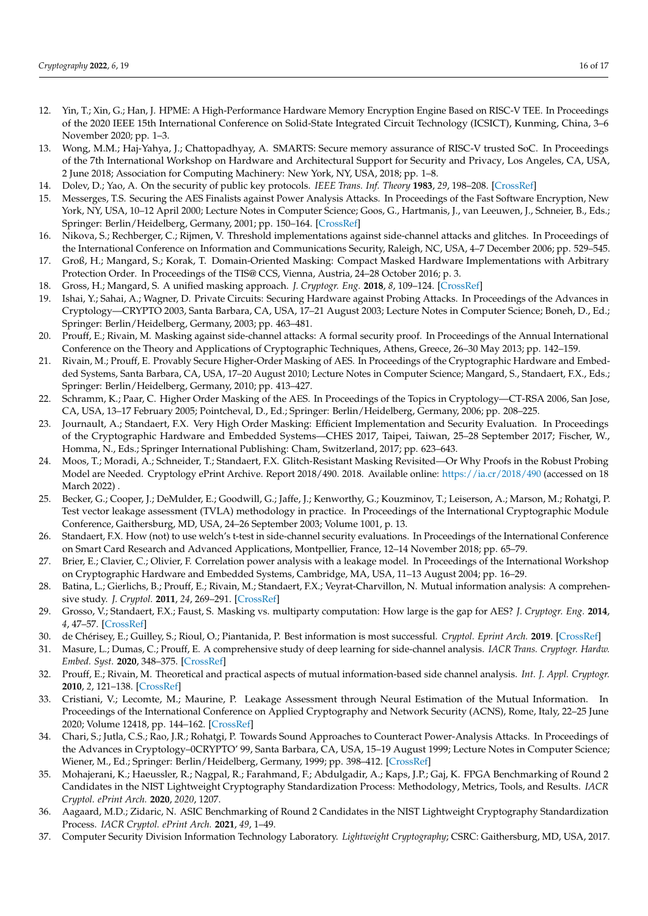- <span id="page-15-0"></span>12. Yin, T.; Xin, G.; Han, J. HPME: A High-Performance Hardware Memory Encryption Engine Based on RISC-V TEE. In Proceedings of the 2020 IEEE 15th International Conference on Solid-State Integrated Circuit Technology (ICSICT), Kunming, China, 3–6 November 2020; pp. 1–3.
- <span id="page-15-1"></span>13. Wong, M.M.; Haj-Yahya, J.; Chattopadhyay, A. SMARTS: Secure memory assurance of RISC-V trusted SoC. In Proceedings of the 7th International Workshop on Hardware and Architectural Support for Security and Privacy, Los Angeles, CA, USA, 2 June 2018; Association for Computing Machinery: New York, NY, USA, 2018; pp. 1–8.
- <span id="page-15-2"></span>14. Dolev, D.; Yao, A. On the security of public key protocols. *IEEE Trans. Inf. Theory* **1983**, *29*, 198–208. [\[CrossRef\]](http://dx.doi.org/10.1109/TIT.1983.1056650)
- <span id="page-15-3"></span>15. Messerges, T.S. Securing the AES Finalists against Power Analysis Attacks. In Proceedings of the Fast Software Encryption, New York, NY, USA, 10–12 April 2000; Lecture Notes in Computer Science; Goos, G., Hartmanis, J., van Leeuwen, J., Schneier, B., Eds.; Springer: Berlin/Heidelberg, Germany, 2001; pp. 150–164. [\[CrossRef\]](http://dx.doi.org/10.1007/3-540-44706-7_11)
- <span id="page-15-4"></span>16. Nikova, S.; Rechberger, C.; Rijmen, V. Threshold implementations against side-channel attacks and glitches. In Proceedings of the International Conference on Information and Communications Security, Raleigh, NC, USA, 4–7 December 2006; pp. 529–545.
- <span id="page-15-5"></span>17. Groß, H.; Mangard, S.; Korak, T. Domain-Oriented Masking: Compact Masked Hardware Implementations with Arbitrary Protection Order. In Proceedings of the TIS@ CCS, Vienna, Austria, 24–28 October 2016; p. 3.
- <span id="page-15-6"></span>18. Gross, H.; Mangard, S. A unified masking approach. *J. Cryptogr. Eng.* **2018**, *8*, 109–124. [\[CrossRef\]](http://dx.doi.org/10.1007/s13389-018-0184-y)
- <span id="page-15-7"></span>19. Ishai, Y.; Sahai, A.; Wagner, D. Private Circuits: Securing Hardware against Probing Attacks. In Proceedings of the Advances in Cryptology—CRYPTO 2003, Santa Barbara, CA, USA, 17–21 August 2003; Lecture Notes in Computer Science; Boneh, D., Ed.; Springer: Berlin/Heidelberg, Germany, 2003; pp. 463–481.
- <span id="page-15-8"></span>20. Prouff, E.; Rivain, M. Masking against side-channel attacks: A formal security proof. In Proceedings of the Annual International Conference on the Theory and Applications of Cryptographic Techniques, Athens, Greece, 26–30 May 2013; pp. 142–159.
- <span id="page-15-9"></span>21. Rivain, M.; Prouff, E. Provably Secure Higher-Order Masking of AES. In Proceedings of the Cryptographic Hardware and Embedded Systems, Santa Barbara, CA, USA, 17–20 August 2010; Lecture Notes in Computer Science; Mangard, S., Standaert, F.X., Eds.; Springer: Berlin/Heidelberg, Germany, 2010; pp. 413–427.
- <span id="page-15-10"></span>22. Schramm, K.; Paar, C. Higher Order Masking of the AES. In Proceedings of the Topics in Cryptology—CT-RSA 2006, San Jose, CA, USA, 13–17 February 2005; Pointcheval, D., Ed.; Springer: Berlin/Heidelberg, Germany, 2006; pp. 208–225.
- <span id="page-15-11"></span>23. Journault, A.; Standaert, F.X. Very High Order Masking: Efficient Implementation and Security Evaluation. In Proceedings of the Cryptographic Hardware and Embedded Systems—CHES 2017, Taipei, Taiwan, 25–28 September 2017; Fischer, W., Homma, N., Eds.; Springer International Publishing: Cham, Switzerland, 2017; pp. 623–643.
- <span id="page-15-12"></span>24. Moos, T.; Moradi, A.; Schneider, T.; Standaert, F.X. Glitch-Resistant Masking Revisited—Or Why Proofs in the Robust Probing Model are Needed. Cryptology ePrint Archive. Report 2018/490. 2018. Available online: <https://ia.cr/2018/490> (accessed on 18 March 2022) .
- <span id="page-15-13"></span>25. Becker, G.; Cooper, J.; DeMulder, E.; Goodwill, G.; Jaffe, J.; Kenworthy, G.; Kouzminov, T.; Leiserson, A.; Marson, M.; Rohatgi, P. Test vector leakage assessment (TVLA) methodology in practice. In Proceedings of the International Cryptographic Module Conference, Gaithersburg, MD, USA, 24–26 September 2003; Volume 1001, p. 13.
- <span id="page-15-14"></span>26. Standaert, F.X. How (not) to use welch's t-test in side-channel security evaluations. In Proceedings of the International Conference on Smart Card Research and Advanced Applications, Montpellier, France, 12–14 November 2018; pp. 65–79.
- <span id="page-15-15"></span>27. Brier, E.; Clavier, C.; Olivier, F. Correlation power analysis with a leakage model. In Proceedings of the International Workshop on Cryptographic Hardware and Embedded Systems, Cambridge, MA, USA, 11–13 August 2004; pp. 16–29.
- <span id="page-15-16"></span>28. Batina, L.; Gierlichs, B.; Prouff, E.; Rivain, M.; Standaert, F.X.; Veyrat-Charvillon, N. Mutual information analysis: A comprehensive study. *J. Cryptol.* **2011**, *24*, 269–291. [\[CrossRef\]](http://dx.doi.org/10.1007/s00145-010-9084-8)
- <span id="page-15-17"></span>29. Grosso, V.; Standaert, F.X.; Faust, S. Masking vs. multiparty computation: How large is the gap for AES? *J. Cryptogr. Eng.* **2014**, *4*, 47–57. [\[CrossRef\]](http://dx.doi.org/10.1007/s13389-014-0073-y)
- <span id="page-15-18"></span>30. de Chérisey, E.; Guilley, S.; Rioul, O.; Piantanida, P. Best information is most successful. *Cryptol. Eprint Arch.* **2019**. [\[CrossRef\]](http://dx.doi.org/10.46586/tches.v2019.i2.49-79)
- <span id="page-15-19"></span>31. Masure, L.; Dumas, C.; Prouff, E. A comprehensive study of deep learning for side-channel analysis. *IACR Trans. Cryptogr. Hardw. Embed. Syst.* **2020**, 348–375. [\[CrossRef\]](http://dx.doi.org/10.46586/tches.v2020.i1.348-375)
- <span id="page-15-20"></span>32. Prouff, E.; Rivain, M. Theoretical and practical aspects of mutual information-based side channel analysis. *Int. J. Appl. Cryptogr.* **2010**, *2*, 121–138. [\[CrossRef\]](http://dx.doi.org/10.1504/IJACT.2010.038306)
- <span id="page-15-21"></span>33. Cristiani, V.; Lecomte, M.; Maurine, P. Leakage Assessment through Neural Estimation of the Mutual Information. In Proceedings of the International Conference on Applied Cryptography and Network Security (ACNS), Rome, Italy, 22–25 June 2020; Volume 12418, pp. 144–162. [\[CrossRef\]](http://dx.doi.org/10.1007/978-3-030-61638-0_9)
- <span id="page-15-22"></span>34. Chari, S.; Jutla, C.S.; Rao, J.R.; Rohatgi, P. Towards Sound Approaches to Counteract Power-Analysis Attacks. In Proceedings of the Advances in Cryptology–0CRYPTO' 99, Santa Barbara, CA, USA, 15–19 August 1999; Lecture Notes in Computer Science; Wiener, M., Ed.; Springer: Berlin/Heidelberg, Germany, 1999; pp. 398–412. [\[CrossRef\]](http://dx.doi.org/10.1007/3-540-48405-1_26)
- <span id="page-15-23"></span>35. Mohajerani, K.; Haeussler, R.; Nagpal, R.; Farahmand, F.; Abdulgadir, A.; Kaps, J.P.; Gaj, K. FPGA Benchmarking of Round 2 Candidates in the NIST Lightweight Cryptography Standardization Process: Methodology, Metrics, Tools, and Results. *IACR Cryptol. ePrint Arch.* **2020**, *2020*, 1207.
- <span id="page-15-24"></span>36. Aagaard, M.D.; Zidaric, N. ASIC Benchmarking of Round 2 Candidates in the NIST Lightweight Cryptography Standardization Process. *IACR Cryptol. ePrint Arch.* **2021**, *49*, 1–49.
- <span id="page-15-25"></span>37. Computer Security Division Information Technology Laboratory. *Lightweight Cryptography*; CSRC: Gaithersburg, MD, USA, 2017.